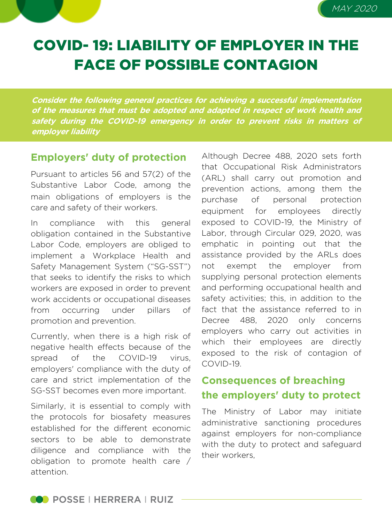# MAY 2020

# COVID- 19: LIABILITY OF EMPLOYER IN THE FACE OF POSSIBLE CONTAGION

**Consider the following general practices for achieving <sup>a</sup> successful implementation of the measures that must be adopted and adapted in respect of work health and safety during the COVID-19 emergency in order to prevent risks in matters of employer liability**

#### **Employers' duty of protection**

Pursuant to articles 56 and 57(2) of the Substantive Labor Code, among the main obligations of employers is the care and safety of their workers.

In compliance with this general obligation contained in the Substantive Labor Code, employers are obliged to implement a Workplace Health and Safety Management System ("SG-SST") that seeks to identify the risks to which workers are exposed in order to prevent work accidents or occupational diseases from occurring under pillars of promotion and prevention.

Currently, when there is a high risk of negative health effects because of the spread of the COVID-19 virus, employers' compliance with the duty of care and strict implementation of the SG-SST becomes even more important.

Similarly, it is essential to comply with the protocols for biosafety measures established for the different economic sectors to be able to demonstrate diligence and compliance with the obligation to promote health care / attention.

Although Decree 488, 2020 sets forth that Occupational Risk Administrators (ARL) shall carry out promotion and prevention actions, among them the purchase of personal protection equipment for employees directly exposed to COVID-19, the Ministry of Labor, through Circular 029, 2020, was emphatic in pointing out that the assistance provided by the ARLs does not exempt the employer from supplying personal protection elements and performing occupational health and safety activities; this, in addition to the fact that the assistance referred to in Decree 488, 2020 only concerns employers who carry out activities in which their employees are directly exposed to the risk of contagion of COVID-19.

## **Consequences of breaching the employers' duty to protect**

The Ministry of Labor may initiate administrative sanctioning procedures against employers for non-compliance with the duty to protect and safeguard their workers,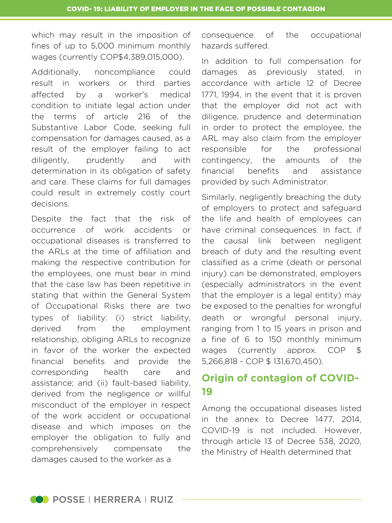which may result in the imposition of fines of up to 5,000 minimum monthly wages (currently COP\$4,389,015,000).

Additionally, noncompliance could result in workers or third parties affected by a worker's medical condition to initiate legal action under the terms of article 216 of the Substantive Labor Code, seeking full compensation for damages caused, as a result of the employer failing to act diligently, prudently and with determination in its obligation of safety and care. These claims for full damages could result in extremely costly court decisions.

Despite the fact that the risk of occurrence of work accidents or occupational diseases is transferred to the ARLs at the time of affiliation and making the respective contribution for the employees, one must bear in mind that the case law has been repetitive in stating that within the General System of Occupational Risks there are two types of liability: (i) strict liability, derived from the employment relationship, obliging ARLs to recognize in favor of the worker the expected financial benefits and provide the corresponding health care and assistance; and (ii) fault-based liability, derived from the negligence or willful misconduct of the employer in respect of the work accident or occupational disease and which imposes on the employer the obligation to fully and comprehensively compensate the damages caused to the worker as a

consequence of the occupational hazards suffered.

In addition to full compensation for damages as previously stated, in accordance with article 12 of Decree 1771, 1994, in the event that it is proven that the employer did not act with diligence, prudence and determination in order to protect the employee, the ARL may also claim from the employer responsible for the professional contingency, the amounts of the financial benefits and assistance provided by such Administrator.

Similarly, negligently breaching the duty of employers to protect and safeguard the life and health of employees can have criminal consequences. In fact, if the causal link between negligent breach of duty and the resulting event classified as a crime (death or personal injury) can be demonstrated, employers (especially administrators in the event that the employer is a legal entity) may be exposed to the penalties for wrongful death or wrongful personal injury, ranging from 1 to 15 years in prison and a fine of 6 to 150 monthly minimum wages (currently approx. COP \$ 5,266,818 - COP \$ 131,670,450).

### **Origin of contagion of COVID-19**

Among the occupational diseases listed in the annex to Decree 1477, 2014, COVID-19 is not included. However, through article 13 of Decree 538, 2020, the Ministry of Health determined that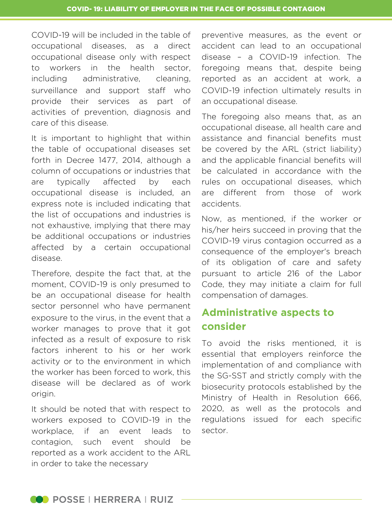COVID-19 will be included in the table of occupational diseases, as a direct occupational disease only with respect to workers in the health sector, including administrative, cleaning, surveillance and support staff who provide their services as part of activities of prevention, diagnosis and care of this disease.

It is important to highlight that within the table of occupational diseases set forth in Decree 1477, 2014, although a column of occupations or industries that are typically affected by each occupational disease is included, an express note is included indicating that the list of occupations and industries is not exhaustive, implying that there may be additional occupations or industries affected by a certain occupational disease.

Therefore, despite the fact that, at the moment, COVID-19 is only presumed to be an occupational disease for health sector personnel who have permanent exposure to the virus, in the event that a worker manages to prove that it got infected as a result of exposure to risk factors inherent to his or her work activity or to the environment in which the worker has been forced to work, this disease will be declared as of work origin.

It should be noted that with respect to workers exposed to COVID-19 in the workplace, if an event leads to contagion, such event should be reported as a work accident to the ARL in order to take the necessary

preventive measures, as the event or accident can lead to an occupational disease – a COVID-19 infection. The foregoing means that, despite being reported as an accident at work, a COVID-19 infection ultimately results in an occupational disease.

The foregoing also means that, as an occupational disease, all health care and assistance and financial benefits must be covered by the ARL (strict liability) and the applicable financial benefits will be calculated in accordance with the rules on occupational diseases, which are different from those of work accidents.

Now, as mentioned, if the worker or his/her heirs succeed in proving that the COVID-19 virus contagion occurred as a consequence of the employer's breach of its obligation of care and safety pursuant to article 216 of the Labor Code, they may initiate a claim for full compensation of damages.

# **Administrative aspects to consider**

To avoid the risks mentioned, it is essential that employers reinforce the implementation of and compliance with the SG-SST and strictly comply with the biosecurity protocols established by the Ministry of Health in Resolution 666, 2020, as well as the protocols and regulations issued for each specific sector.